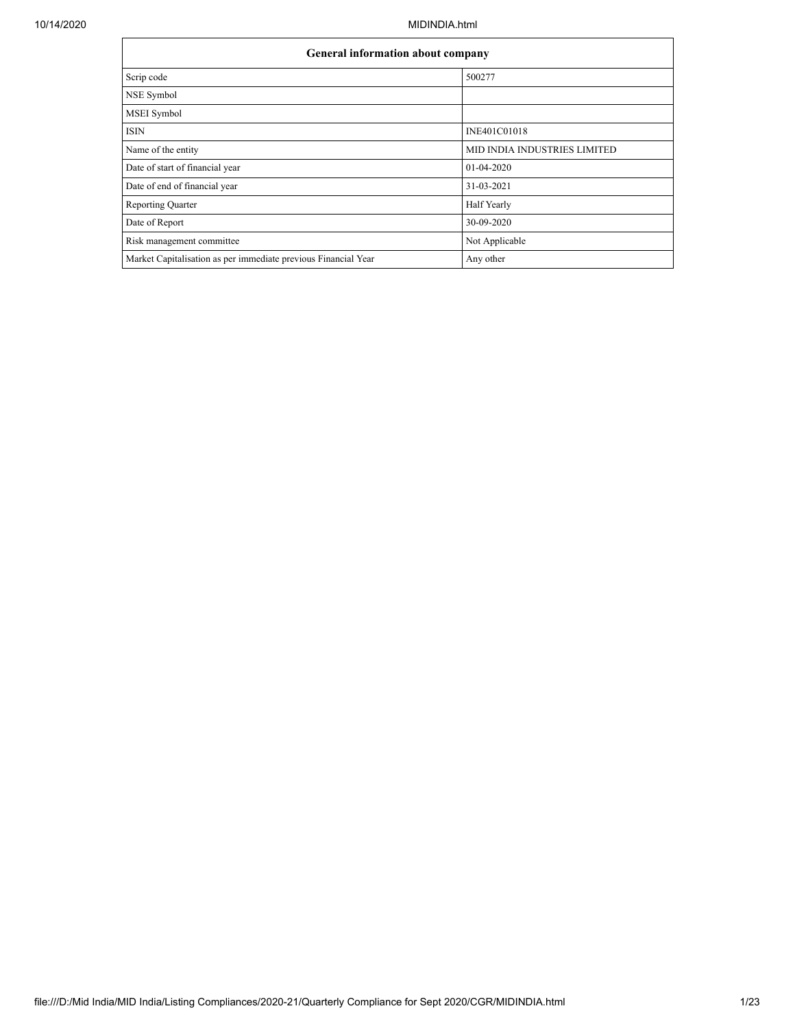|                                                                | <b>General information about company</b> |  |  |  |  |  |  |  |
|----------------------------------------------------------------|------------------------------------------|--|--|--|--|--|--|--|
| Scrip code                                                     | 500277                                   |  |  |  |  |  |  |  |
| NSE Symbol                                                     |                                          |  |  |  |  |  |  |  |
| MSEI Symbol                                                    |                                          |  |  |  |  |  |  |  |
| <b>ISIN</b>                                                    | INE401C01018                             |  |  |  |  |  |  |  |
| Name of the entity                                             | MID INDIA INDUSTRIES LIMITED             |  |  |  |  |  |  |  |
| Date of start of financial year                                | 01-04-2020                               |  |  |  |  |  |  |  |
| Date of end of financial year                                  | 31-03-2021                               |  |  |  |  |  |  |  |
| <b>Reporting Quarter</b>                                       | Half Yearly                              |  |  |  |  |  |  |  |
| Date of Report                                                 | 30-09-2020                               |  |  |  |  |  |  |  |
| Risk management committee                                      | Not Applicable                           |  |  |  |  |  |  |  |
| Market Capitalisation as per immediate previous Financial Year | Any other                                |  |  |  |  |  |  |  |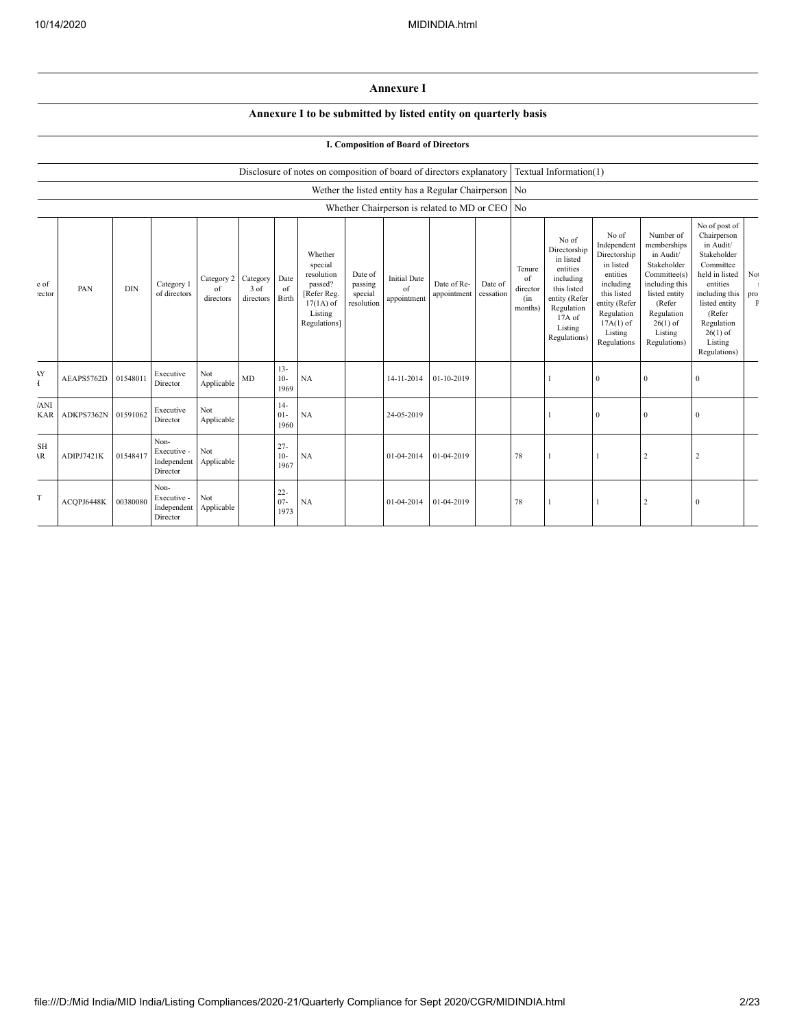## **Annexure I**

## **Annexure I to be submitted by listed entity on quarterly basis**

## **I. Composition of Board of Directors**

|                           |                     |            |                                                |                                        |                   |                          | Disclosure of notes on composition of board of directors explanatory                                 |                                             |                                          |                                                         |                      |                                            | Textual Information(1)                                                                                                                         |                                                                                                                                                                   |                                                                                                                                                                          |                                                                                                                                                                                                         |                           |
|---------------------------|---------------------|------------|------------------------------------------------|----------------------------------------|-------------------|--------------------------|------------------------------------------------------------------------------------------------------|---------------------------------------------|------------------------------------------|---------------------------------------------------------|----------------------|--------------------------------------------|------------------------------------------------------------------------------------------------------------------------------------------------|-------------------------------------------------------------------------------------------------------------------------------------------------------------------|--------------------------------------------------------------------------------------------------------------------------------------------------------------------------|---------------------------------------------------------------------------------------------------------------------------------------------------------------------------------------------------------|---------------------------|
|                           |                     |            |                                                |                                        |                   |                          |                                                                                                      |                                             |                                          | Wether the listed entity has a Regular Chairperson   No |                      |                                            |                                                                                                                                                |                                                                                                                                                                   |                                                                                                                                                                          |                                                                                                                                                                                                         |                           |
|                           |                     |            |                                                |                                        |                   |                          |                                                                                                      |                                             |                                          | Whether Chairperson is related to MD or CEO No          |                      |                                            |                                                                                                                                                |                                                                                                                                                                   |                                                                                                                                                                          |                                                                                                                                                                                                         |                           |
| e of<br>ector             | PAN                 | <b>DIN</b> | Category 1<br>of directors                     | Category 2 Category<br>of<br>directors | 3 of<br>directors | Date<br>of<br>Birth      | Whether<br>special<br>resolution<br>passed?<br>[Refer Reg.<br>$17(1A)$ of<br>Listing<br>Regulations] | Date of<br>passing<br>special<br>resolution | <b>Initial Date</b><br>of<br>appointment | Date of Re-<br>appointment                              | Date of<br>cessation | Tenure<br>of<br>director<br>(in<br>months) | No of<br>Directorship<br>in listed<br>entities<br>including<br>this listed<br>entity (Refer<br>Regulation<br>17A of<br>Listing<br>Regulations) | No of<br>Independent<br>Directorship<br>in listed<br>entities<br>including<br>this listed<br>entity (Refer<br>Regulation<br>$17A(1)$ of<br>Listing<br>Regulations | Number of<br>memberships<br>in Audit/<br>Stakeholder<br>Committee(s)<br>including this<br>listed entity<br>(Refer<br>Regulation<br>$26(1)$ of<br>Listing<br>Regulations) | No of post of<br>Chairperson<br>in Audit/<br>Stakeholder<br>Committee<br>held in listed<br>entities<br>including this<br>listed entity<br>(Refer<br>Regulation<br>$26(1)$ of<br>Listing<br>Regulations) | No<br>pro<br>$\mathbf{F}$ |
| <b>AY</b><br>Ŧ            | AEAPS5762D          | 01548011   | Executive<br>Director                          | Not<br>Applicable                      | MD                | $13 -$<br>$10-$<br>1969  | NA                                                                                                   |                                             | 14-11-2014                               | 01-10-2019                                              |                      |                                            |                                                                                                                                                | $\theta$                                                                                                                                                          | $\mathbf{0}$                                                                                                                                                             | $\mathbf{0}$                                                                                                                                                                                            |                           |
| 'ANI<br><b>KAR</b>        | ADKPS7362N 01591062 |            | Executive<br>Director                          | Not<br>Applicable                      |                   | $14-$<br>$01 -$<br>1960  | <b>NA</b>                                                                                            |                                             | 24-05-2019                               |                                                         |                      |                                            |                                                                                                                                                | $\Omega$                                                                                                                                                          | $\mathbf{0}$                                                                                                                                                             | $\mathbf{0}$                                                                                                                                                                                            |                           |
| <b>SH</b><br>$\mathbf{R}$ | ADIPJ7421K          | 01548417   | Non-<br>Executive -<br>Independent<br>Director | Not<br>Applicable                      |                   | $27 -$<br>$10-$<br>1967  | NA                                                                                                   |                                             | 01-04-2014                               | 01-04-2019                                              |                      | 78                                         |                                                                                                                                                |                                                                                                                                                                   | $\overline{2}$                                                                                                                                                           | $\overline{c}$                                                                                                                                                                                          |                           |
| T                         | ACQPJ6448K          | 00380080   | Non-<br>Executive -<br>Independent<br>Director | Not<br>Applicable                      |                   | $22 -$<br>$07 -$<br>1973 | NA                                                                                                   |                                             | 01-04-2014                               | 01-04-2019                                              |                      | 78                                         |                                                                                                                                                |                                                                                                                                                                   | $\overline{2}$                                                                                                                                                           | $\bf{0}$                                                                                                                                                                                                |                           |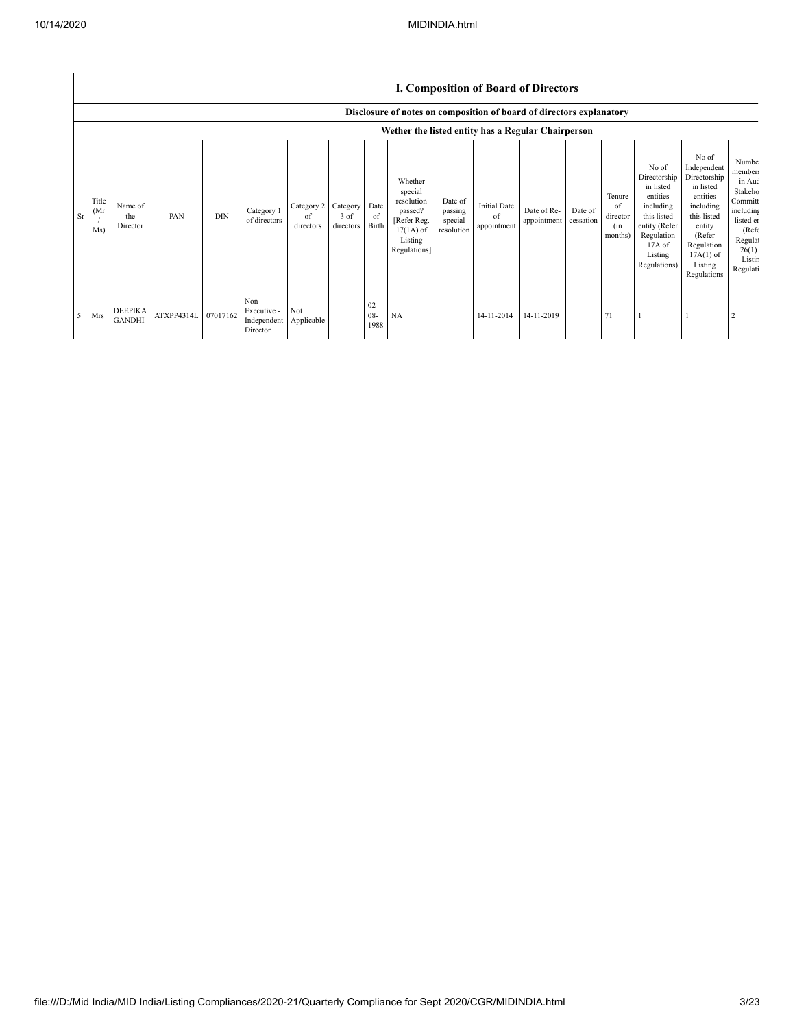| <b>I. Composition of Board of Directors</b> |  |
|---------------------------------------------|--|
|---------------------------------------------|--|

|                |                     |                                 |                     |            |                                                |                                        |                     |                          | Disclosure of notes on composition of board of directors explanatory                                 |                                             |                                          |                            |                      |                                            |                                                                                                                                                |                                                                                                                                                                      |                                                                                                                                            |
|----------------|---------------------|---------------------------------|---------------------|------------|------------------------------------------------|----------------------------------------|---------------------|--------------------------|------------------------------------------------------------------------------------------------------|---------------------------------------------|------------------------------------------|----------------------------|----------------------|--------------------------------------------|------------------------------------------------------------------------------------------------------------------------------------------------|----------------------------------------------------------------------------------------------------------------------------------------------------------------------|--------------------------------------------------------------------------------------------------------------------------------------------|
|                |                     |                                 |                     |            |                                                |                                        |                     |                          | Wether the listed entity has a Regular Chairperson                                                   |                                             |                                          |                            |                      |                                            |                                                                                                                                                |                                                                                                                                                                      |                                                                                                                                            |
| <b>Sr</b>      | Title<br>(Mr)<br>Ms | Name of<br>the<br>Director      | PAN                 | <b>DIN</b> | Category 1<br>of directors                     | Category 2 Category<br>of<br>directors | $3$ of<br>directors | Date<br>of<br>Birth      | Whether<br>special<br>resolution<br>passed?<br>[Refer Reg.<br>$17(1A)$ of<br>Listing<br>Regulations] | Date of<br>passing<br>special<br>resolution | <b>Initial Date</b><br>of<br>appointment | Date of Re-<br>appointment | Date of<br>cessation | Tenure<br>of<br>director<br>(in<br>months) | No of<br>Directorship<br>in listed<br>entities<br>including<br>this listed<br>entity (Refer<br>Regulation<br>17A of<br>Listing<br>Regulations) | No of<br>Independent<br>Directorship<br>in listed<br>entities<br>including<br>this listed<br>entity<br>(Refer<br>Regulation<br>$17A(1)$ of<br>Listing<br>Regulations | Numbe<br>member:<br>in Auc<br>Stakeho<br>Committ<br>including<br>listed en<br>(Ref <sub>f</sub> )<br>Regula<br>26(1)<br>Listir<br>Regulati |
| 5 <sup>5</sup> | Mrs                 | <b>DEEPIKA</b><br><b>GANDHI</b> | ATXPP4314L 07017162 |            | Non-<br>Executive -<br>Independent<br>Director | Not<br>Applicable                      |                     | $02 -$<br>$08 -$<br>1988 | NA                                                                                                   |                                             | 14-11-2014                               | 14-11-2019                 |                      | 71                                         |                                                                                                                                                |                                                                                                                                                                      |                                                                                                                                            |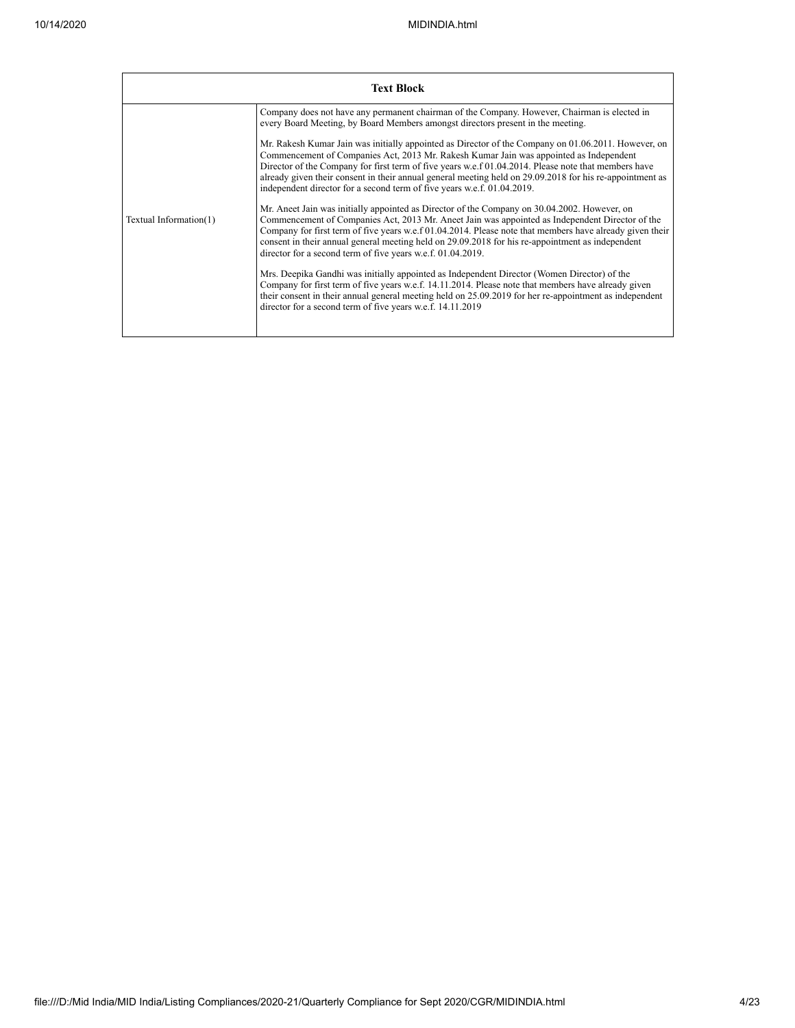|                        | <b>Text Block</b>                                                                                                                                                                                                                                                                                                                                                                                                                                                                                                                                                                                                                                                                                                                                                                                                                                                                                                                                                                                                                                                                                                                                                                                                                                                                                                                                                                                                                                                                                                                               |
|------------------------|-------------------------------------------------------------------------------------------------------------------------------------------------------------------------------------------------------------------------------------------------------------------------------------------------------------------------------------------------------------------------------------------------------------------------------------------------------------------------------------------------------------------------------------------------------------------------------------------------------------------------------------------------------------------------------------------------------------------------------------------------------------------------------------------------------------------------------------------------------------------------------------------------------------------------------------------------------------------------------------------------------------------------------------------------------------------------------------------------------------------------------------------------------------------------------------------------------------------------------------------------------------------------------------------------------------------------------------------------------------------------------------------------------------------------------------------------------------------------------------------------------------------------------------------------|
| Textual Information(1) | Company does not have any permanent chairman of the Company. However, Chairman is elected in<br>every Board Meeting, by Board Members amongst directors present in the meeting.<br>Mr. Rakesh Kumar Jain was initially appointed as Director of the Company on 01.06.2011. However, on<br>Commencement of Companies Act, 2013 Mr. Rakesh Kumar Jain was appointed as Independent<br>Director of the Company for first term of five years w.e.f 01.04.2014. Please note that members have<br>already given their consent in their annual general meeting held on 29.09.2018 for his re-appointment as<br>independent director for a second term of five years w.e.f. 01.04.2019.<br>Mr. Aneet Jain was initially appointed as Director of the Company on 30.04.2002. However, on<br>Commencement of Companies Act, 2013 Mr. Aneet Jain was appointed as Independent Director of the<br>Company for first term of five years w.e.f 01.04.2014. Please note that members have already given their<br>consent in their annual general meeting held on 29.09.2018 for his re-appointment as independent<br>director for a second term of five years w.e.f. 01.04.2019.<br>Mrs. Deepika Gandhi was initially appointed as Independent Director (Women Director) of the<br>Company for first term of five years w.e.f. 14.11.2014. Please note that members have already given<br>their consent in their annual general meeting held on 25.09.2019 for her re-appointment as independent<br>director for a second term of five years w.e.f. 14.11.2019 |
|                        |                                                                                                                                                                                                                                                                                                                                                                                                                                                                                                                                                                                                                                                                                                                                                                                                                                                                                                                                                                                                                                                                                                                                                                                                                                                                                                                                                                                                                                                                                                                                                 |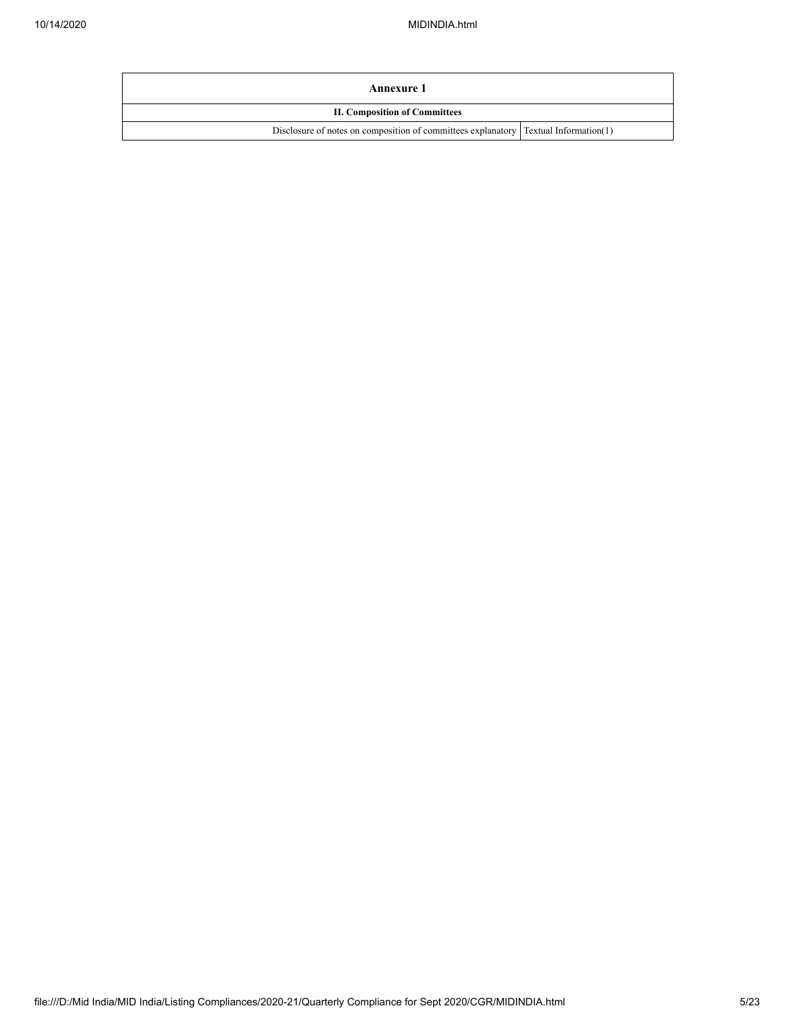| Annexure 1                                                                            |  |  |  |  |  |  |
|---------------------------------------------------------------------------------------|--|--|--|--|--|--|
| <b>II. Composition of Committees</b>                                                  |  |  |  |  |  |  |
| Disclosure of notes on composition of committees explanatory   Textual Information(1) |  |  |  |  |  |  |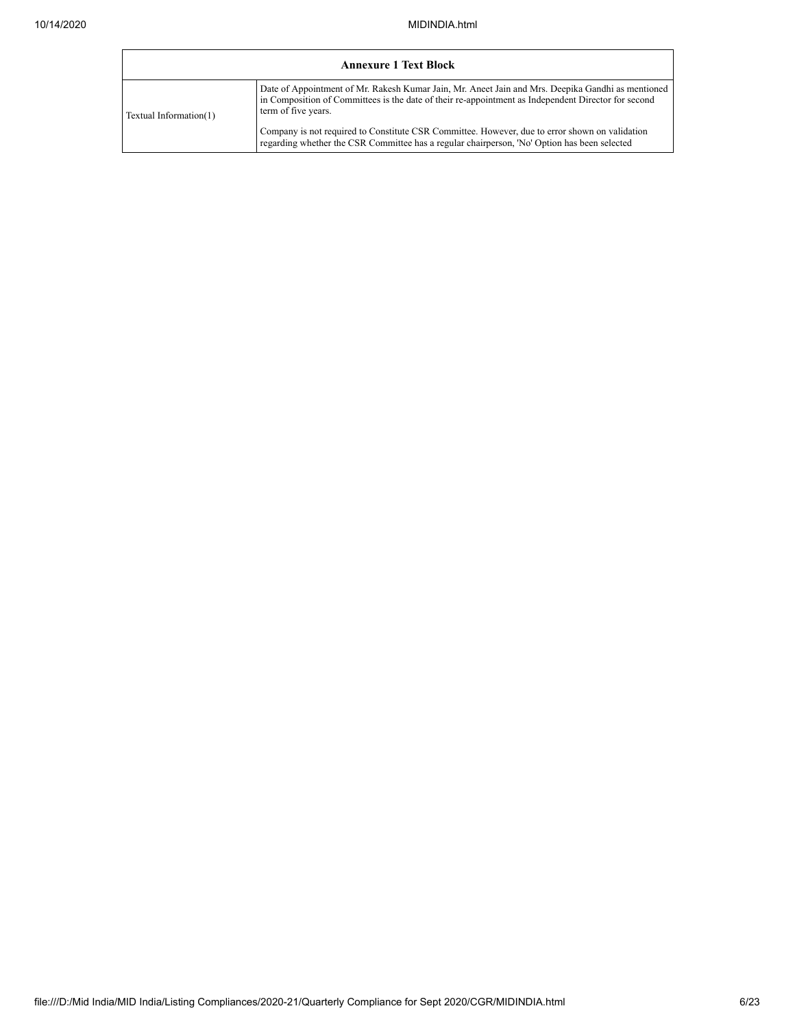|                        | <b>Annexure 1 Text Block</b>                                                                                                                                                                                                    |
|------------------------|---------------------------------------------------------------------------------------------------------------------------------------------------------------------------------------------------------------------------------|
| Textual Information(1) | Date of Appointment of Mr. Rakesh Kumar Jain, Mr. Aneet Jain and Mrs. Deepika Gandhi as mentioned<br>in Composition of Committees is the date of their re-appointment as Independent Director for second<br>term of five years. |
|                        | Company is not required to Constitute CSR Committee. However, due to error shown on validation<br>regarding whether the CSR Committee has a regular chairperson, 'No' Option has been selected                                  |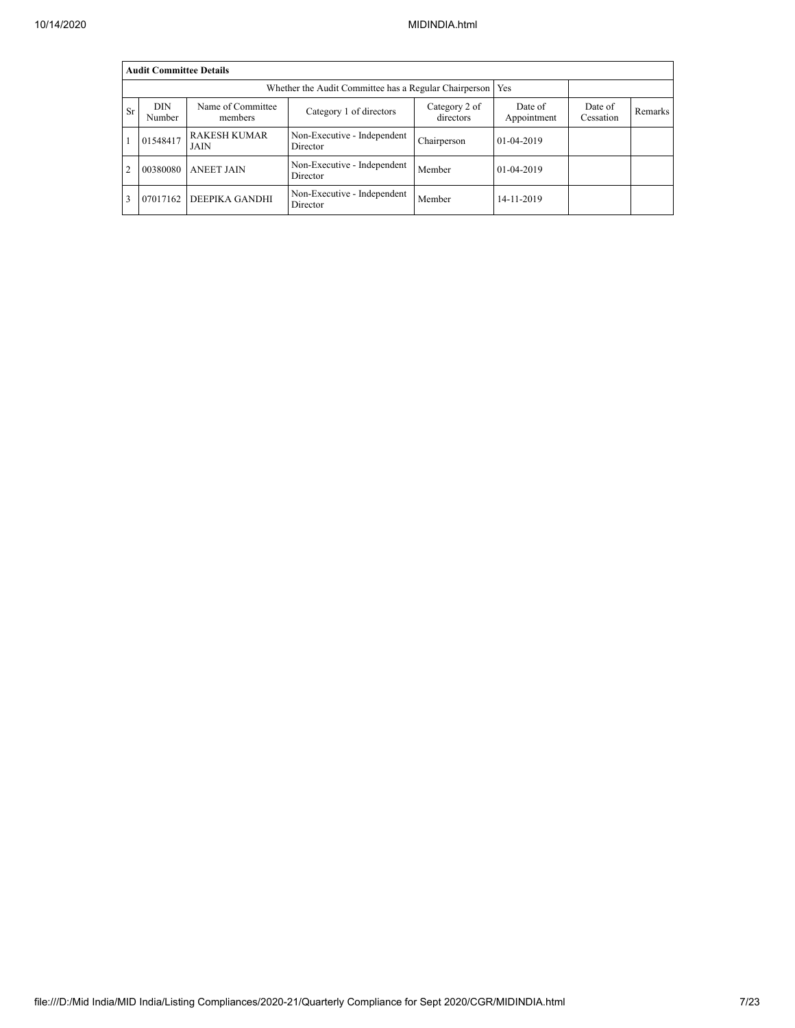|                | <b>Audit Committee Details</b> |                                    |                                         |                            |                        |                      |                |  |  |  |  |  |  |
|----------------|--------------------------------|------------------------------------|-----------------------------------------|----------------------------|------------------------|----------------------|----------------|--|--|--|--|--|--|
|                |                                |                                    |                                         |                            |                        |                      |                |  |  |  |  |  |  |
| <b>Sr</b>      | <b>DIN</b><br>Number           | Name of Committee<br>members       | Category 1 of directors                 | Category 2 of<br>directors | Date of<br>Appointment | Date of<br>Cessation | <b>Remarks</b> |  |  |  |  |  |  |
|                | 01548417                       | <b>RAKESH KUMAR</b><br><b>JAIN</b> | Non-Executive - Independent<br>Director | Chairperson                | 01-04-2019             |                      |                |  |  |  |  |  |  |
| $\overline{c}$ | 00380080                       | <b>ANEET JAIN</b>                  | Non-Executive - Independent<br>Director | Member                     | 01-04-2019             |                      |                |  |  |  |  |  |  |
| 3              | 07017162                       | DEEPIKA GANDHI                     | Non-Executive - Independent<br>Director | Member                     | 14-11-2019             |                      |                |  |  |  |  |  |  |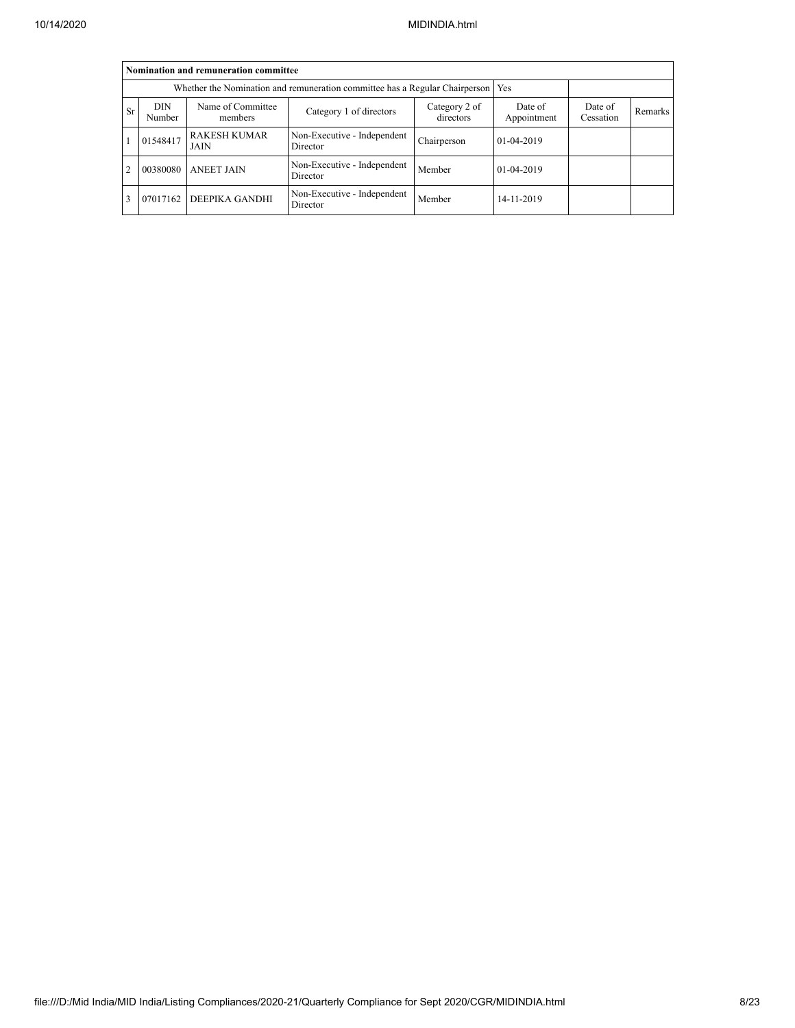|                |                                                                             | Nomination and remuneration committee |                                         |                            |                        |                      |         |
|----------------|-----------------------------------------------------------------------------|---------------------------------------|-----------------------------------------|----------------------------|------------------------|----------------------|---------|
|                | Whether the Nomination and remuneration committee has a Regular Chairperson |                                       |                                         |                            |                        |                      |         |
| <b>Sr</b>      | <b>DIN</b><br>Number                                                        | Name of Committee<br>members          | Category 1 of directors                 | Category 2 of<br>directors | Date of<br>Appointment | Date of<br>Cessation | Remarks |
|                | 01548417                                                                    | <b>RAKESH KUMAR</b><br><b>JAIN</b>    | Non-Executive - Independent<br>Director | Chairperson                | 01-04-2019             |                      |         |
| $\overline{c}$ | 00380080                                                                    | <b>ANEET JAIN</b>                     | Non-Executive - Independent<br>Director | Member                     | 01-04-2019             |                      |         |
| 3              | 07017162                                                                    | DEEPIKA GANDHI                        | Non-Executive - Independent<br>Director | Member                     | 14-11-2019             |                      |         |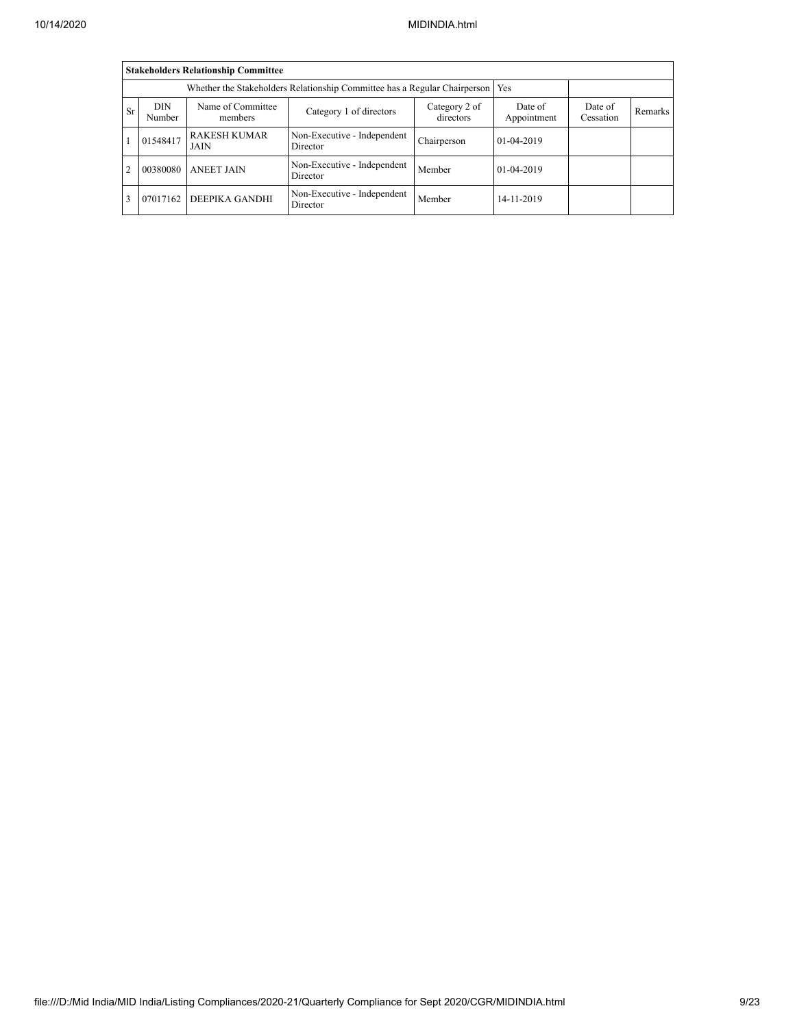|                |                                                                                 | <b>Stakeholders Relationship Committee</b> |                                         |                            |                        |                      |         |
|----------------|---------------------------------------------------------------------------------|--------------------------------------------|-----------------------------------------|----------------------------|------------------------|----------------------|---------|
|                | Whether the Stakeholders Relationship Committee has a Regular Chairperson   Yes |                                            |                                         |                            |                        |                      |         |
| <b>Sr</b>      | <b>DIN</b><br>Number                                                            | Name of Committee<br>members               | Category 1 of directors                 | Category 2 of<br>directors | Date of<br>Appointment | Date of<br>Cessation | Remarks |
|                | 01548417                                                                        | <b>RAKESH KUMAR</b><br>JAIN                | Non-Executive - Independent<br>Director | Chairperson                | 01-04-2019             |                      |         |
| $\overline{c}$ | 00380080                                                                        | <b>ANEET JAIN</b>                          | Non-Executive - Independent<br>Director | Member                     | $01-04-2019$           |                      |         |
| 3              | 07017162                                                                        | DEEPIKA GANDHI                             | Non-Executive - Independent<br>Director | Member                     | 14-11-2019             |                      |         |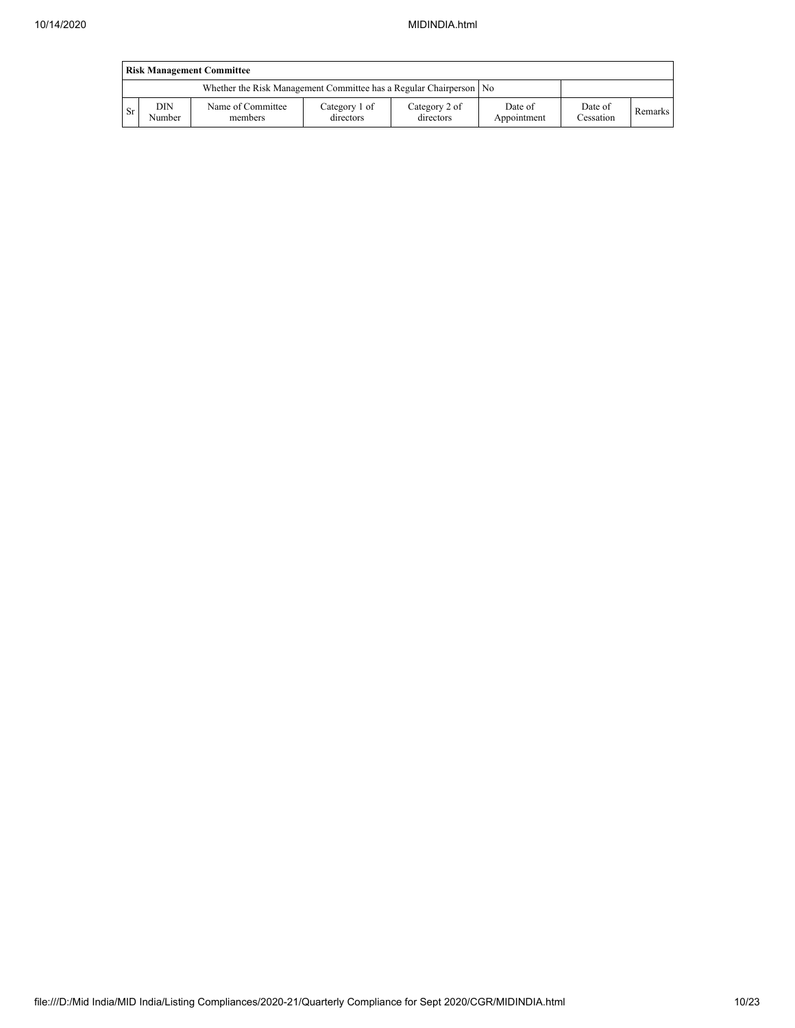|     | <b>Risk Management Committee</b> |                                                                    |                            |                            |                        |                      |         |  |  |  |  |  |
|-----|----------------------------------|--------------------------------------------------------------------|----------------------------|----------------------------|------------------------|----------------------|---------|--|--|--|--|--|
|     |                                  | Whether the Risk Management Committee has a Regular Chairperson No |                            |                            |                        |                      |         |  |  |  |  |  |
| -Sr | DIN<br>Number                    | Name of Committee<br>members                                       | Category 1 of<br>directors | Category 2 of<br>directors | Date of<br>Appointment | Date of<br>Cessation | Remarks |  |  |  |  |  |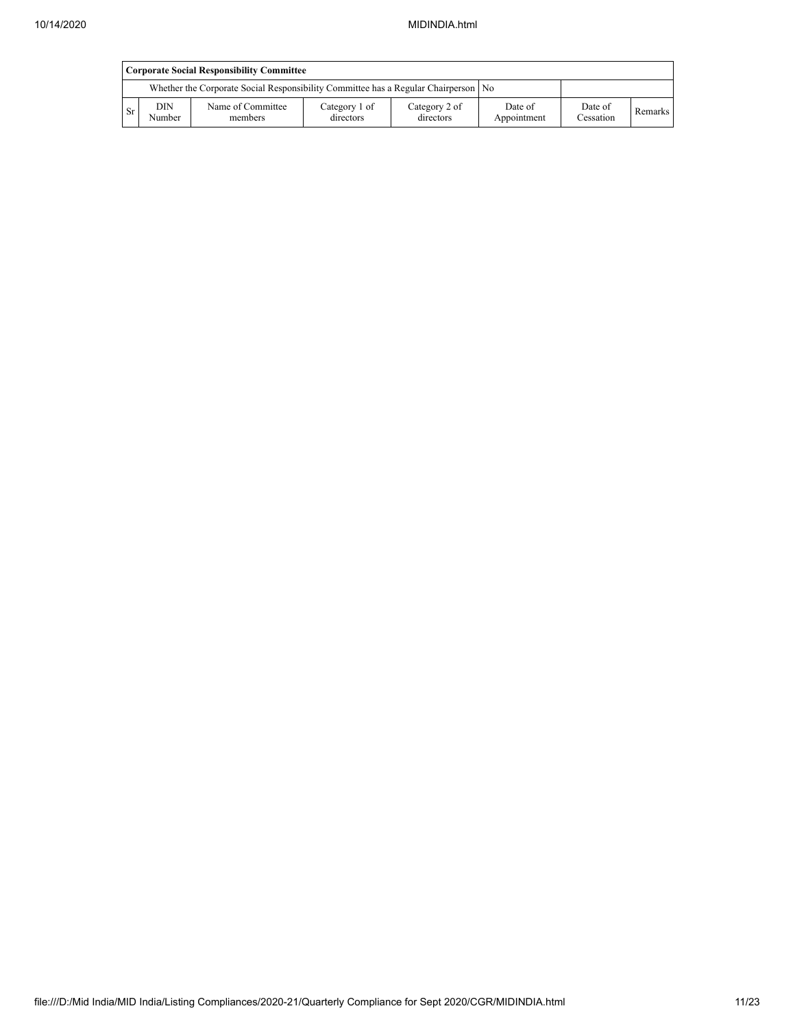|     | <b>Corporate Social Responsibility Committee</b> |                                                                                      |                            |                            |                        |                      |         |  |  |  |  |
|-----|--------------------------------------------------|--------------------------------------------------------------------------------------|----------------------------|----------------------------|------------------------|----------------------|---------|--|--|--|--|
|     |                                                  | Whether the Corporate Social Responsibility Committee has a Regular Chairperson   No |                            |                            |                        |                      |         |  |  |  |  |
| ∟Sr | DIN<br>Number                                    | Name of Committee<br>members                                                         | Category 1 of<br>directors | Category 2 of<br>directors | Date of<br>Appointment | Date of<br>Cessation | Remarks |  |  |  |  |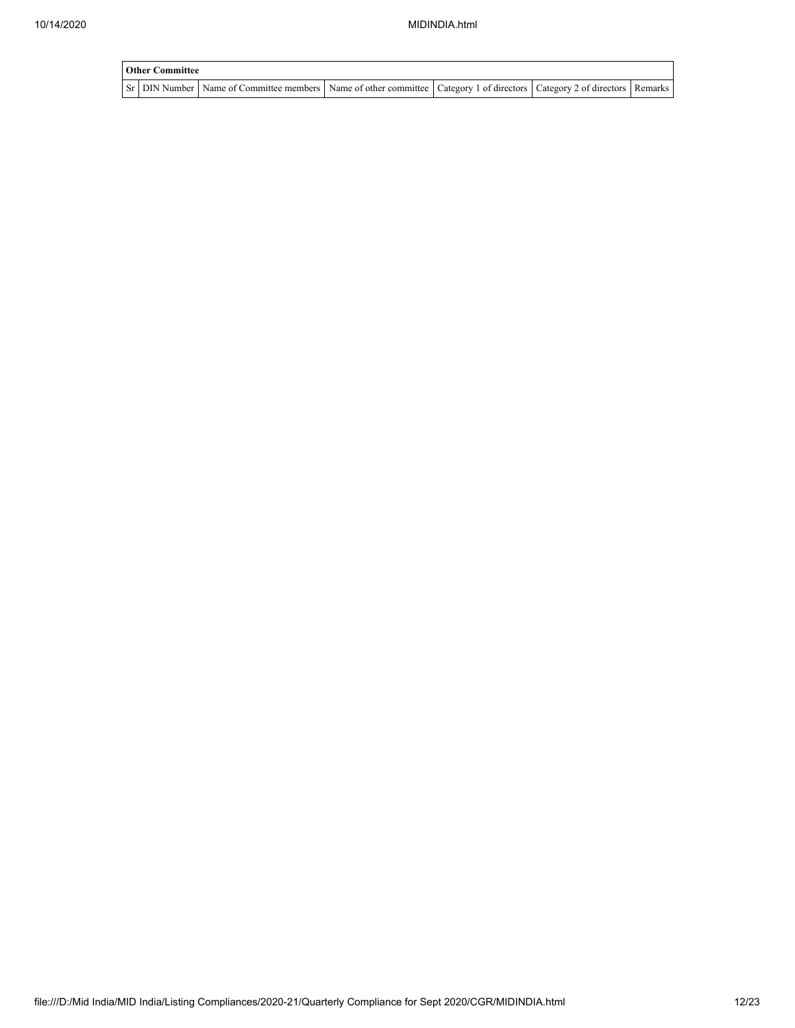| <b>Other Committee</b> |                                                                                                                                     |  |  |  |  |
|------------------------|-------------------------------------------------------------------------------------------------------------------------------------|--|--|--|--|
|                        | Sr   DIN Number   Name of Committee members   Name of other committee   Category 1 of directors   Category 2 of directors   Remarks |  |  |  |  |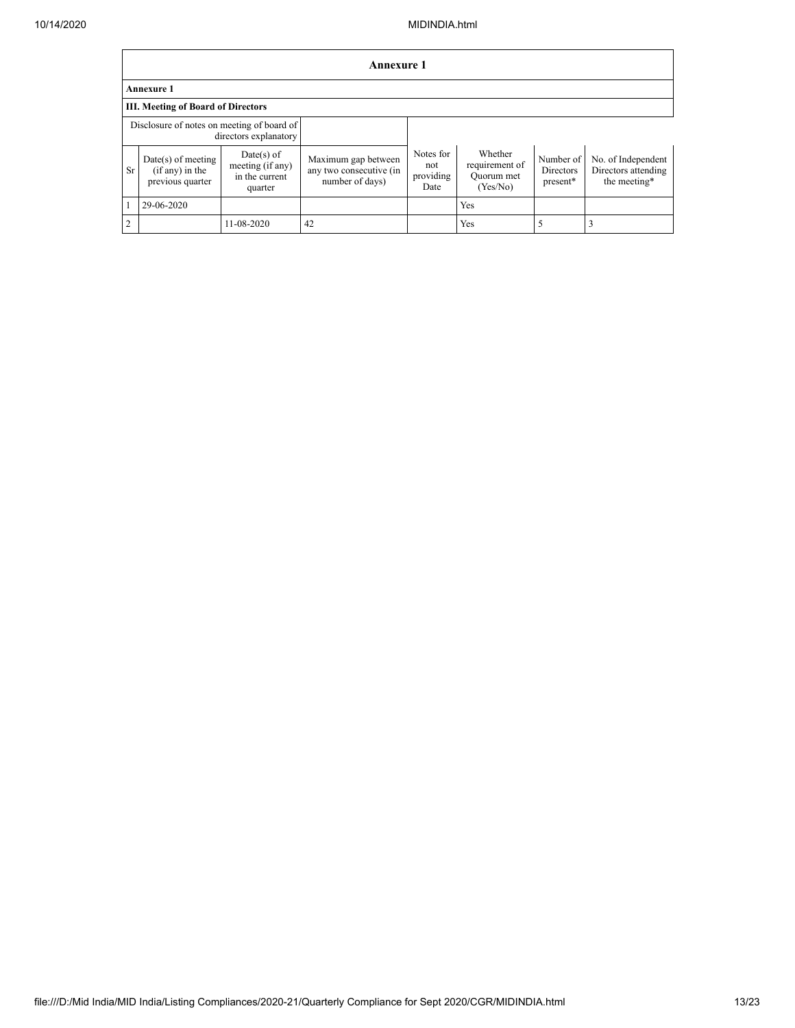|                | <b>Annexure 1</b>                                             |                                                               |                                                                   |                                       |                                                     |                                    |                                                           |
|----------------|---------------------------------------------------------------|---------------------------------------------------------------|-------------------------------------------------------------------|---------------------------------------|-----------------------------------------------------|------------------------------------|-----------------------------------------------------------|
|                | <b>Annexure 1</b>                                             |                                                               |                                                                   |                                       |                                                     |                                    |                                                           |
|                | <b>III. Meeting of Board of Directors</b>                     |                                                               |                                                                   |                                       |                                                     |                                    |                                                           |
|                | Disclosure of notes on meeting of board of                    | directors explanatory                                         |                                                                   |                                       |                                                     |                                    |                                                           |
| <b>Sr</b>      | $Date(s)$ of meeting<br>$(if any)$ in the<br>previous quarter | $Date(s)$ of<br>meeting (if any)<br>in the current<br>quarter | Maximum gap between<br>any two consecutive (in<br>number of days) | Notes for<br>not<br>providing<br>Date | Whether<br>requirement of<br>Quorum met<br>(Yes/No) | Number of<br>Directors<br>present* | No. of Independent<br>Directors attending<br>the meeting* |
|                | 29-06-2020                                                    |                                                               |                                                                   |                                       | Yes                                                 |                                    |                                                           |
| $\overline{2}$ |                                                               | 11-08-2020                                                    | 42                                                                |                                       | Yes                                                 |                                    |                                                           |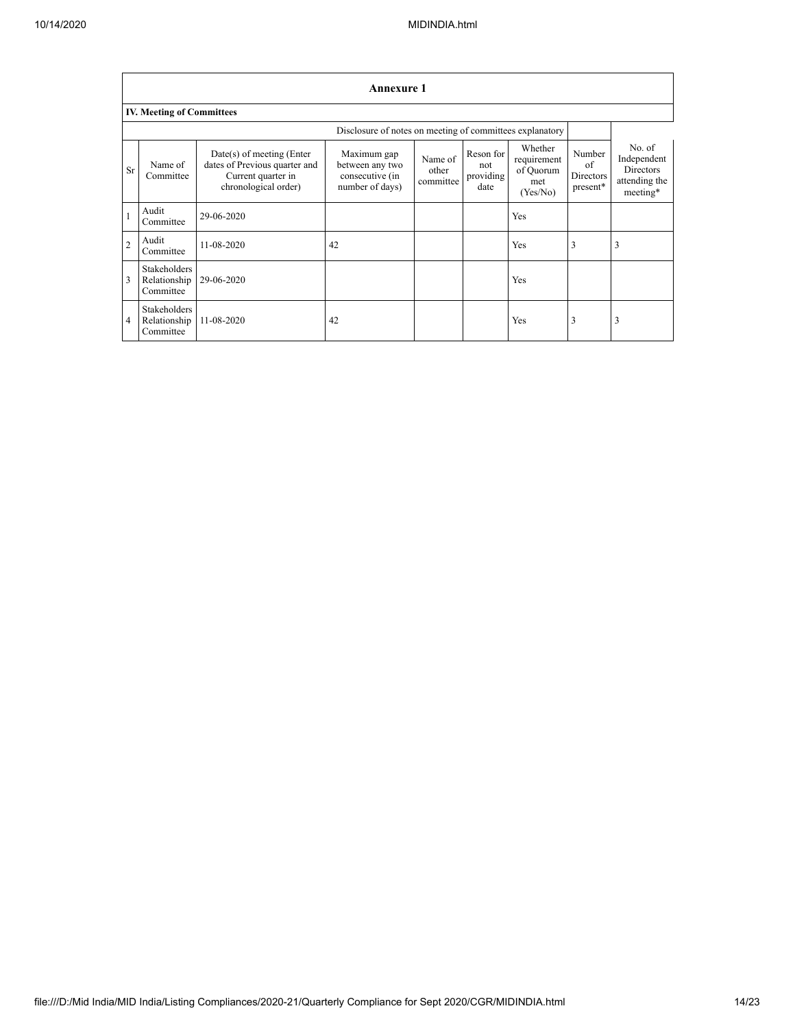|                | <b>Annexure 1</b>                                        |                                                                                                            |                                                                      |                               |                                       |                                                        |                                              |                                                                        |
|----------------|----------------------------------------------------------|------------------------------------------------------------------------------------------------------------|----------------------------------------------------------------------|-------------------------------|---------------------------------------|--------------------------------------------------------|----------------------------------------------|------------------------------------------------------------------------|
|                | <b>IV. Meeting of Committees</b>                         |                                                                                                            |                                                                      |                               |                                       |                                                        |                                              |                                                                        |
|                | Disclosure of notes on meeting of committees explanatory |                                                                                                            |                                                                      |                               |                                       |                                                        |                                              |                                                                        |
| Sr             | Name of<br>Committee                                     | $Date(s)$ of meeting (Enter<br>dates of Previous quarter and<br>Current quarter in<br>chronological order) | Maximum gap<br>between any two<br>consecutive (in<br>number of days) | Name of<br>other<br>committee | Reson for<br>not<br>providing<br>date | Whether<br>requirement<br>of Quorum<br>met<br>(Yes/No) | Number<br>of<br><b>Directors</b><br>present* | No. of<br>Independent<br><b>Directors</b><br>attending the<br>meeting* |
| $\mathbf{1}$   | Audit<br>Committee                                       | 29-06-2020                                                                                                 |                                                                      |                               |                                       | Yes                                                    |                                              |                                                                        |
| $\overline{2}$ | Audit<br>Committee                                       | 11-08-2020                                                                                                 | 42                                                                   |                               |                                       | Yes                                                    | 3                                            | 3                                                                      |
| $\overline{3}$ | <b>Stakeholders</b><br>Relationship<br>Committee         | 29-06-2020                                                                                                 |                                                                      |                               |                                       | Yes                                                    |                                              |                                                                        |
| $\overline{4}$ | <b>Stakeholders</b><br>Relationship<br>Committee         | 11-08-2020                                                                                                 | 42                                                                   |                               |                                       | Yes                                                    | 3                                            | 3                                                                      |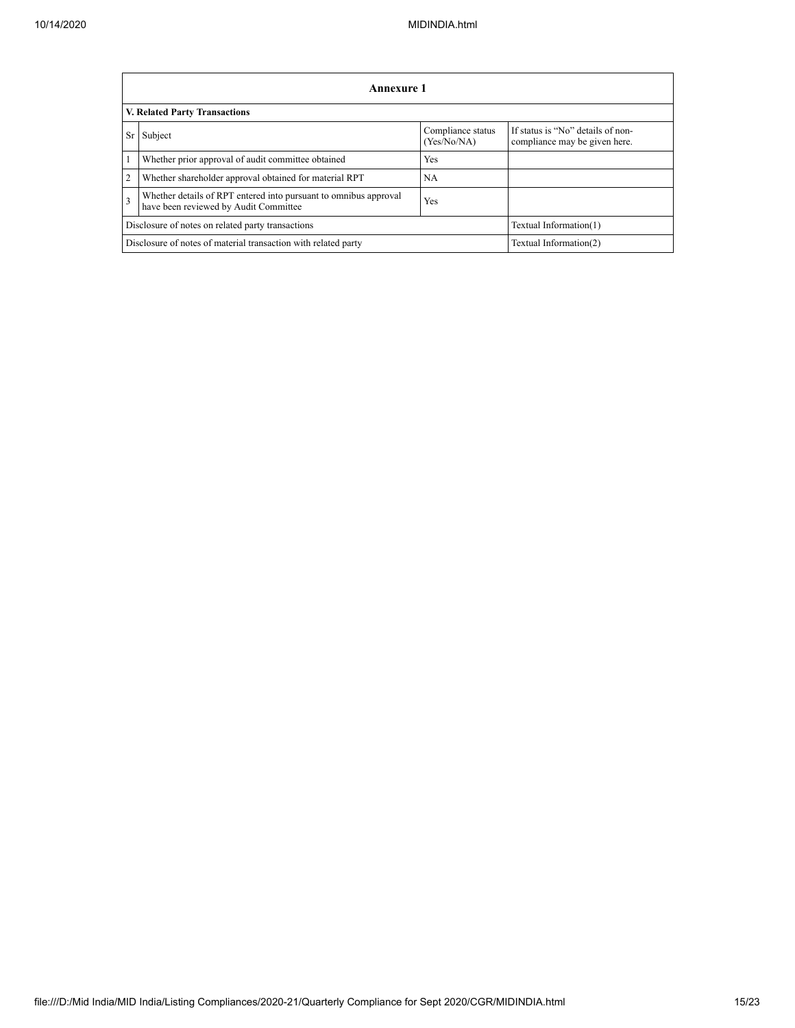|                | <b>Annexure 1</b>                                                                                         |                                  |                                                                    |  |  |
|----------------|-----------------------------------------------------------------------------------------------------------|----------------------------------|--------------------------------------------------------------------|--|--|
|                | <b>V. Related Party Transactions</b>                                                                      |                                  |                                                                    |  |  |
| Sr             | Subject                                                                                                   | Compliance status<br>(Yes/No/NA) | If status is "No" details of non-<br>compliance may be given here. |  |  |
|                | Whether prior approval of audit committee obtained                                                        | <b>Yes</b>                       |                                                                    |  |  |
| $\overline{c}$ | Whether shareholder approval obtained for material RPT                                                    | NA                               |                                                                    |  |  |
| 3              | Whether details of RPT entered into pursuant to omnibus approval<br>have been reviewed by Audit Committee | <b>Yes</b>                       |                                                                    |  |  |
|                | Disclosure of notes on related party transactions<br>Textual Information(1)                               |                                  |                                                                    |  |  |
|                | Disclosure of notes of material transaction with related party                                            |                                  | Textual Information(2)                                             |  |  |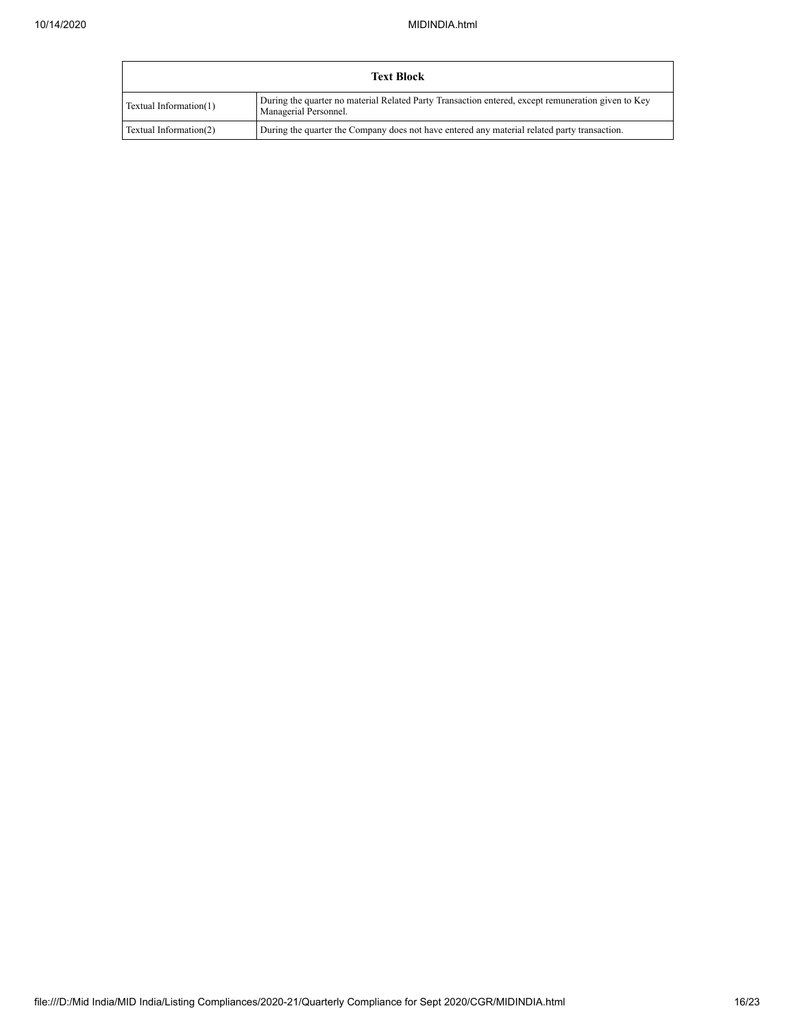|                        | <b>Text Block</b>                                                                                                           |
|------------------------|-----------------------------------------------------------------------------------------------------------------------------|
| Textual Information(1) | During the quarter no material Related Party Transaction entered, except remuneration given to Key<br>Managerial Personnel. |
| Textual Information(2) | During the quarter the Company does not have entered any material related party transaction.                                |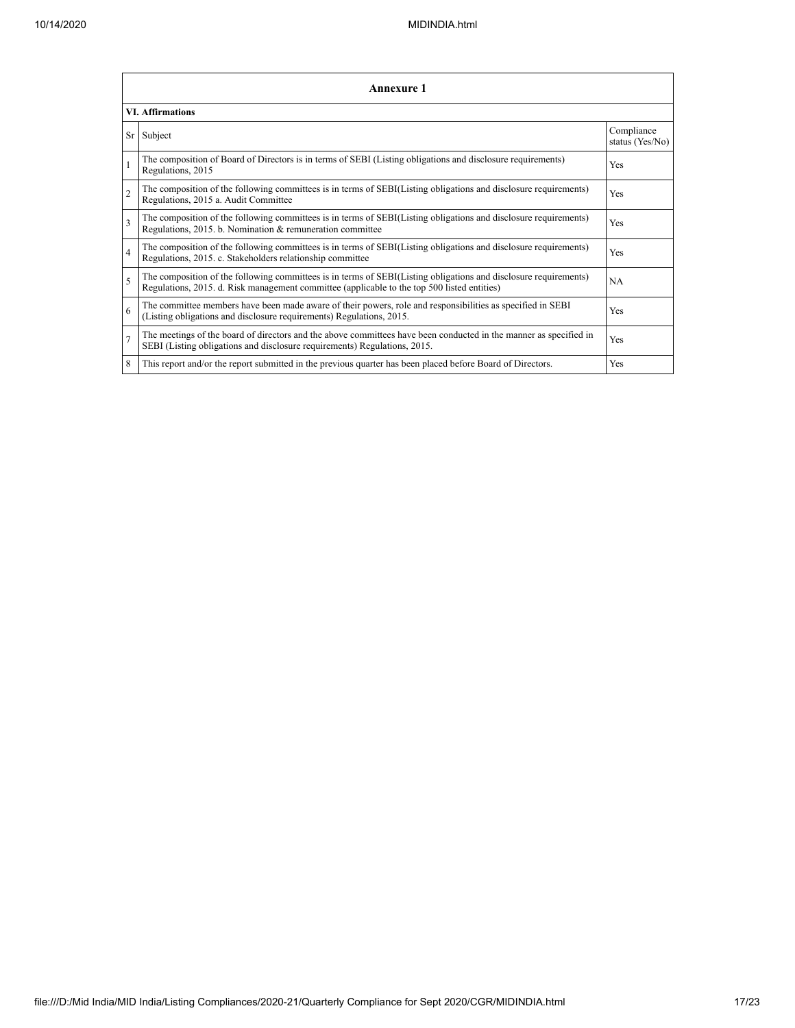|                | Annexure 1                                                                                                                                                                                                      |                               |  |  |
|----------------|-----------------------------------------------------------------------------------------------------------------------------------------------------------------------------------------------------------------|-------------------------------|--|--|
|                | <b>VI. Affirmations</b>                                                                                                                                                                                         |                               |  |  |
| Sr             | Subject                                                                                                                                                                                                         | Compliance<br>status (Yes/No) |  |  |
| $\mathbf{1}$   | The composition of Board of Directors is in terms of SEBI (Listing obligations and disclosure requirements)<br>Regulations, 2015                                                                                | Yes                           |  |  |
| $\overline{c}$ | The composition of the following committees is in terms of SEBI(Listing obligations and disclosure requirements)<br>Regulations, 2015 a. Audit Committee                                                        | Yes                           |  |  |
| 3              | The composition of the following committees is in terms of SEBI(Listing obligations and disclosure requirements)<br>Regulations, 2015. b. Nomination & remuneration committee                                   | Yes                           |  |  |
| $\overline{4}$ | The composition of the following committees is in terms of SEBI(Listing obligations and disclosure requirements)<br>Regulations, 2015. c. Stakeholders relationship committee                                   | Yes                           |  |  |
| $\overline{5}$ | The composition of the following committees is in terms of SEBI(Listing obligations and disclosure requirements)<br>Regulations, 2015. d. Risk management committee (applicable to the top 500 listed entities) | NA                            |  |  |
| 6              | The committee members have been made aware of their powers, role and responsibilities as specified in SEBI<br>(Listing obligations and disclosure requirements) Regulations, 2015.                              | Yes                           |  |  |
| $\overline{7}$ | The meetings of the board of directors and the above committees have been conducted in the manner as specified in<br>SEBI (Listing obligations and disclosure requirements) Regulations, 2015.                  | Yes                           |  |  |
| 8              | This report and/or the report submitted in the previous quarter has been placed before Board of Directors.                                                                                                      | Yes                           |  |  |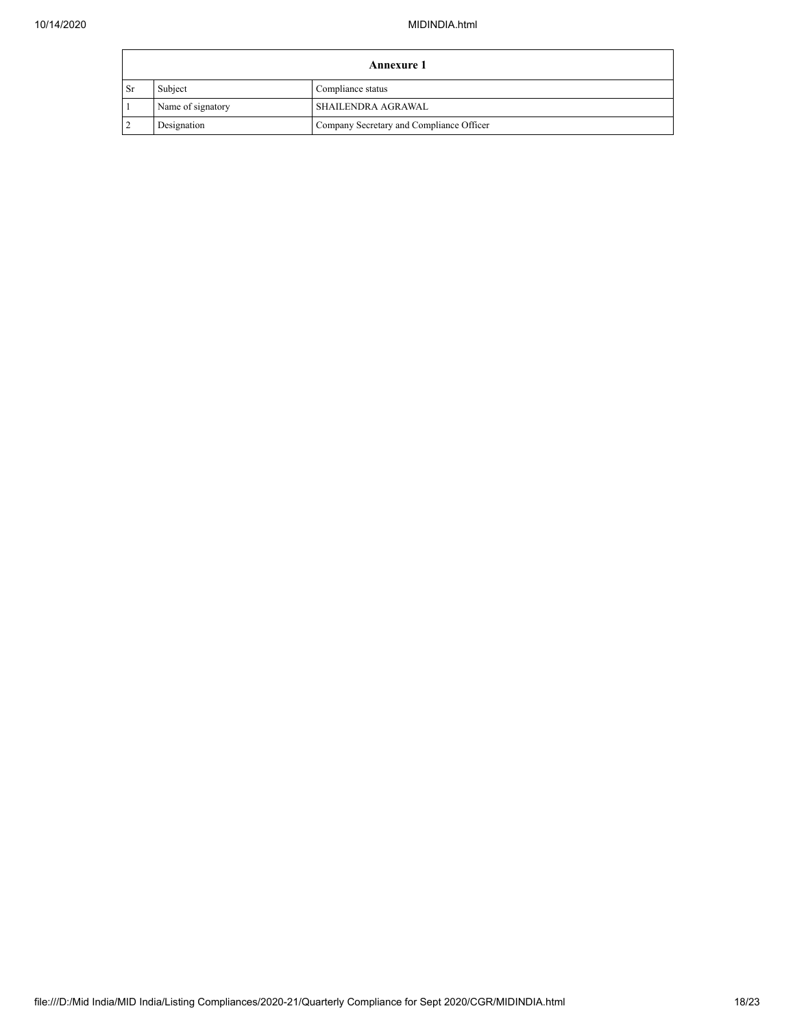|      | <b>Annexure 1</b> |                                          |  |  |
|------|-------------------|------------------------------------------|--|--|
| - Sr | Subject           | Compliance status                        |  |  |
|      | Name of signatory | SHAILENDRA AGRAWAL                       |  |  |
|      | Designation       | Company Secretary and Compliance Officer |  |  |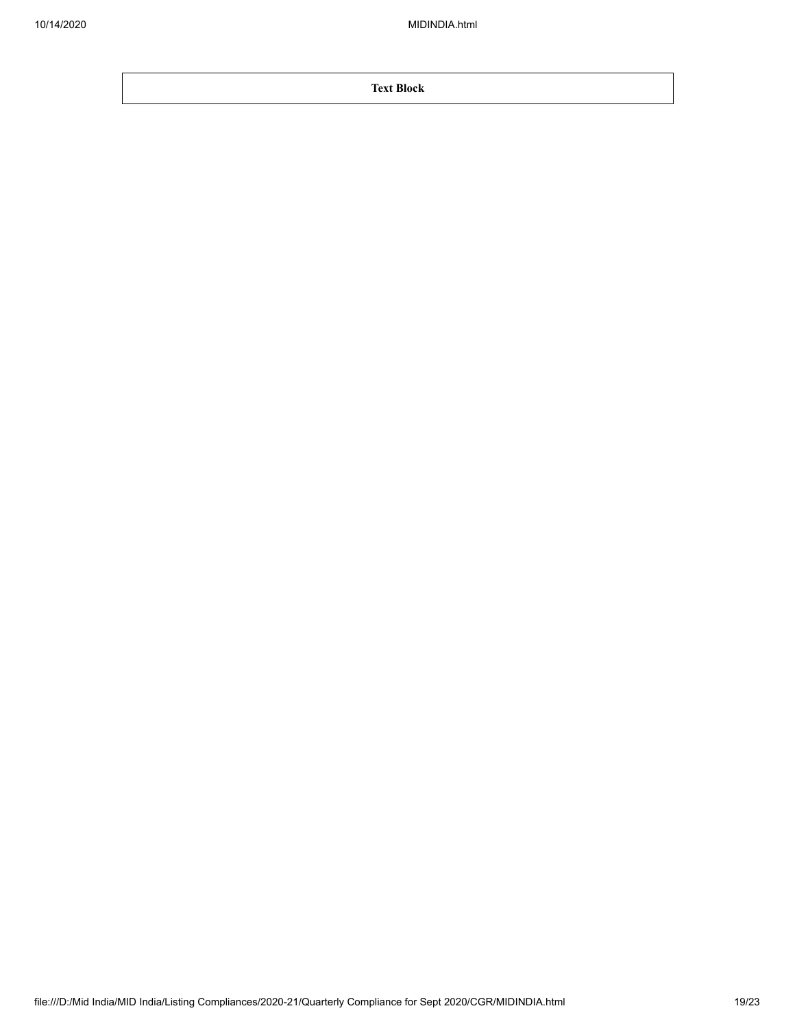**Text Block**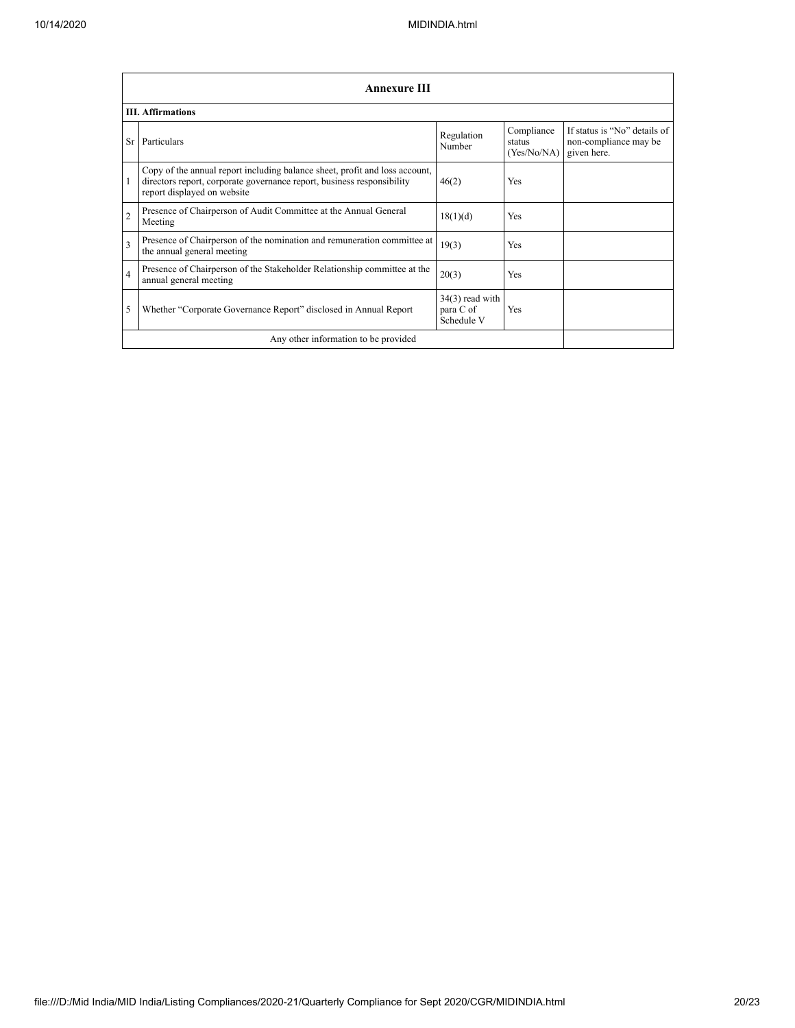|                | <b>Annexure III</b>                                                                                                                                                                  |                                              |                                     |                                                                      |
|----------------|--------------------------------------------------------------------------------------------------------------------------------------------------------------------------------------|----------------------------------------------|-------------------------------------|----------------------------------------------------------------------|
|                | <b>III.</b> Affirmations                                                                                                                                                             |                                              |                                     |                                                                      |
| Sr             | Particulars                                                                                                                                                                          | Regulation<br>Number                         | Compliance<br>status<br>(Yes/No/NA) | If status is "No" details of<br>non-compliance may be<br>given here. |
|                | Copy of the annual report including balance sheet, profit and loss account,<br>directors report, corporate governance report, business responsibility<br>report displayed on website | 46(2)                                        | Yes                                 |                                                                      |
| $\overline{c}$ | Presence of Chairperson of Audit Committee at the Annual General<br>Meeting                                                                                                          | 18(1)(d)                                     | <b>Yes</b>                          |                                                                      |
| 3              | Presence of Chairperson of the nomination and remuneration committee at<br>the annual general meeting                                                                                | 19(3)                                        | <b>Yes</b>                          |                                                                      |
| $\overline{4}$ | Presence of Chairperson of the Stakeholder Relationship committee at the<br>annual general meeting                                                                                   | 20(3)                                        | <b>Yes</b>                          |                                                                      |
| 5              | Whether "Corporate Governance Report" disclosed in Annual Report                                                                                                                     | $34(3)$ read with<br>para C of<br>Schedule V | Yes                                 |                                                                      |
|                | Any other information to be provided                                                                                                                                                 |                                              |                                     |                                                                      |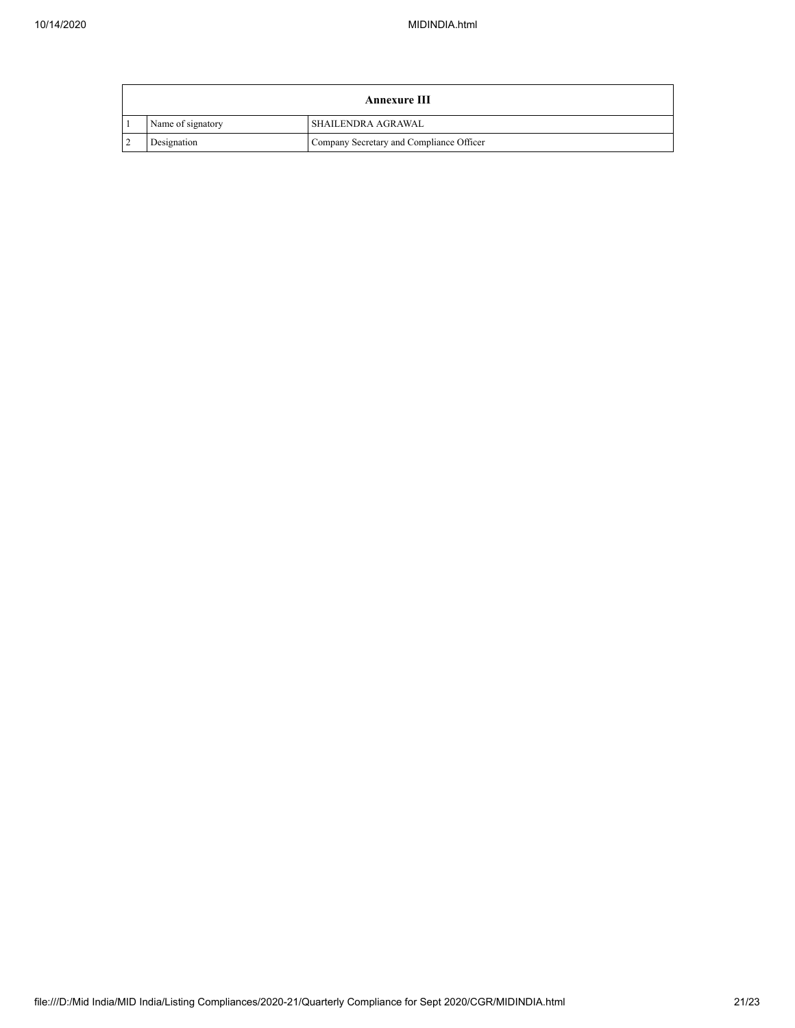|                |                   | <b>Annexure III</b>                      |
|----------------|-------------------|------------------------------------------|
|                | Name of signatory | I SHAILENDRA AGRAWAL                     |
| $\overline{2}$ | Designation       | Company Secretary and Compliance Officer |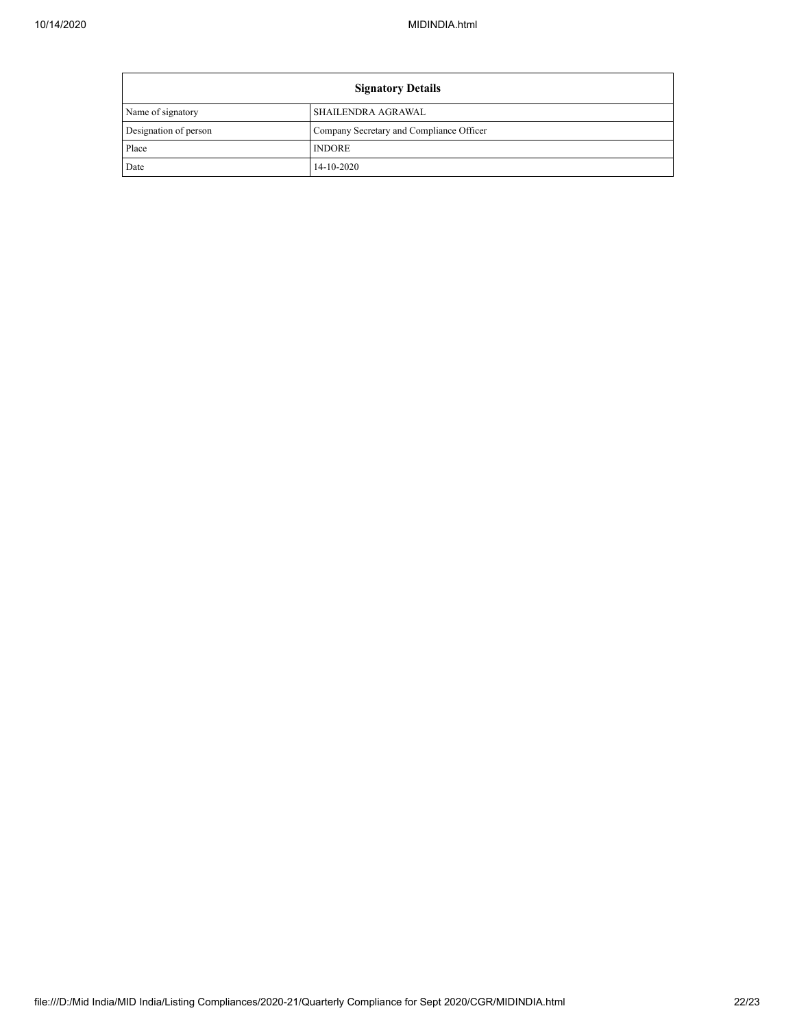| <b>Signatory Details</b> |                                          |
|--------------------------|------------------------------------------|
| Name of signatory        | SHAILENDRA AGRAWAL                       |
| Designation of person    | Company Secretary and Compliance Officer |
| Place                    | <b>INDORE</b>                            |
| Date                     | 14-10-2020                               |